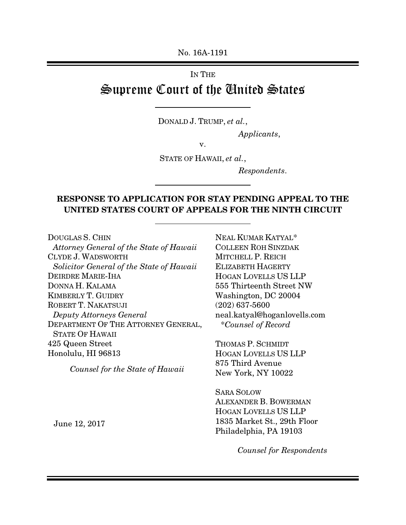No. 16A-1191

# IN THE Supreme Court of the United States

DONALD J. TRUMP, *et al.*,

 $\overline{a}$ 

 $\overline{a}$ 

 $\overline{a}$ 

*Applicants*,

v.

STATE OF HAWAII, *et al.*,

*Respondents*.

# RESPONSE TO APPLICATION FOR STAY PENDING APPEAL TO THE UNITED STATES COURT OF APPEALS FOR THE NINTH CIRCUIT

DOUGLAS S. CHIN

*Attorney General of the State of Hawaii*  CLYDE J. WADSWORTH *Solicitor General of the State of Hawaii*  DEIRDRE MARIE-IHA DONNA H. KALAMA KIMBERLY T. GUIDRY ROBERT T. NAKATSUJI *Deputy Attorneys General*  DEPARTMENT OF THE ATTORNEY GENERAL, STATE OF HAWAII 425 Queen Street Honolulu, HI 96813

*Counsel for the State of Hawaii* 

NEAL KUMAR KATYAL\* COLLEEN ROH SINZDAK MITCHELL P. REICH ELIZABETH HAGERTY HOGAN LOVELLS US LLP 555 Thirteenth Street NW Washington, DC 20004 (202) 637-5600 neal.katyal@hoganlovells.com \**Counsel of Record* 

THOMAS P. SCHMIDT HOGAN LOVELLS US LLP 875 Third Avenue New York, NY 10022

SARA SOLOW ALEXANDER B. BOWERMAN HOGAN LOVELLS US LLP 1835 Market St., 29th Floor Philadelphia, PA 19103

June 12, 2017

*Counsel for Respondents*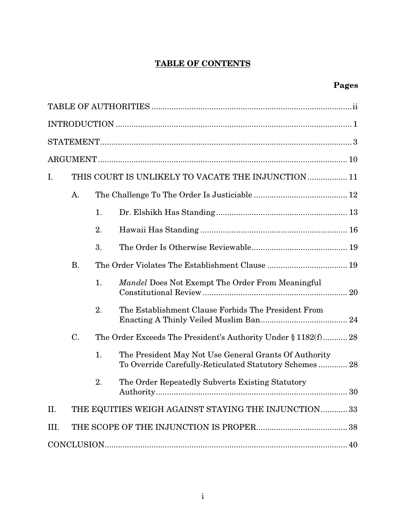# TABLE OF CONTENTS

# Pages

| I.   | THIS COURT IS UNLIKELY TO VACATE THE INJUNCTION 11 |                                                                |                                                                                                                 |  |  |  |
|------|----------------------------------------------------|----------------------------------------------------------------|-----------------------------------------------------------------------------------------------------------------|--|--|--|
|      | A.                                                 |                                                                |                                                                                                                 |  |  |  |
|      |                                                    | 1.                                                             |                                                                                                                 |  |  |  |
|      |                                                    | 2.                                                             |                                                                                                                 |  |  |  |
|      |                                                    | 3.                                                             |                                                                                                                 |  |  |  |
|      | <b>B.</b>                                          |                                                                |                                                                                                                 |  |  |  |
|      |                                                    | 1.                                                             | <i>Mandel</i> Does Not Exempt The Order From Meaningful                                                         |  |  |  |
|      |                                                    | 2.                                                             | The Establishment Clause Forbids The President From                                                             |  |  |  |
|      | $C$ .                                              | The Order Exceeds The President's Authority Under § 1182(f) 28 |                                                                                                                 |  |  |  |
|      |                                                    | 1.                                                             | The President May Not Use General Grants Of Authority<br>To Override Carefully-Reticulated Statutory Schemes 28 |  |  |  |
|      |                                                    | 2.                                                             | The Order Repeatedly Subverts Existing Statutory                                                                |  |  |  |
| II.  |                                                    |                                                                | THE EQUITIES WEIGH AGAINST STAYING THE INJUNCTION  33                                                           |  |  |  |
| III. |                                                    |                                                                |                                                                                                                 |  |  |  |
|      |                                                    |                                                                |                                                                                                                 |  |  |  |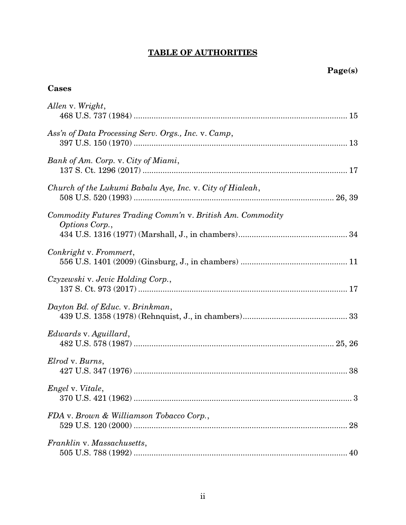# TABLE OF AUTHORITIES

# Cases

| Allen v. Wright,                                                            |    |
|-----------------------------------------------------------------------------|----|
| Ass'n of Data Processing Serv. Orgs., Inc. v. Camp,                         |    |
| Bank of Am. Corp. v. City of Miami,                                         |    |
| Church of the Lukumi Babalu Aye, Inc. v. City of Hialeah,                   |    |
| Commodity Futures Trading Comm'n v. British Am. Commodity<br>Options Corp., |    |
| Conkright v. Frommert,                                                      |    |
| Czyzewski v. Jevic Holding Corp.,                                           |    |
| Dayton Bd. of Educ. v. Brinkman,                                            |    |
| Edwards v. Aguillard,                                                       |    |
| Elrod v. Burns,                                                             |    |
| Engel v. Vitale,                                                            | 3  |
| FDA v. Brown & Williamson Tobacco Corp.,                                    |    |
| Franklin v. Massachusetts,                                                  | 40 |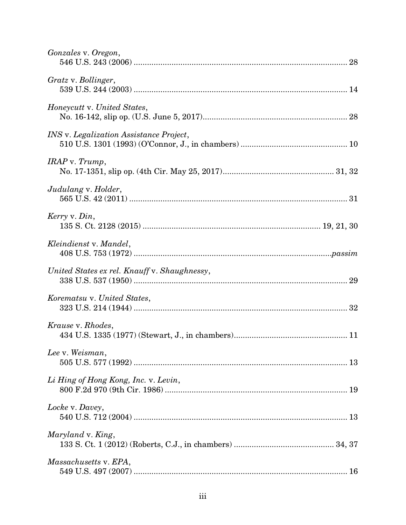| Gonzales v. Oregon,                            |
|------------------------------------------------|
| Gratz v. Bollinger,                            |
| Honeycutt v. United States,                    |
| <i>INS</i> v. Legalization Assistance Project, |
| $IRAP$ v. $Trump$ ,                            |
| Judulang v. Holder,                            |
| Kerry v. Din,                                  |
| Kleindienst v. Mandel,                         |
| United States ex rel. Knauff v. Shaughnessy,   |
| Korematsu v. United States,                    |
| Krause v. Rhodes,                              |
| Lee v. Weisman,                                |
| Li Hing of Hong Kong, Inc. v. Levin,           |
| Locke v. Davey,                                |
| Maryland v. King,                              |
| Massachusetts v. EPA,                          |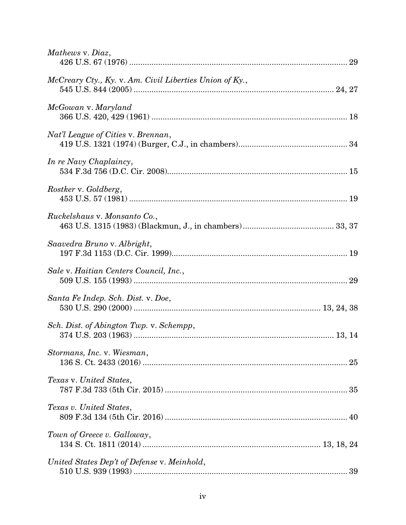| Mathews v. Diaz,                                        |
|---------------------------------------------------------|
| McCreary Cty., Ky. v. Am. Civil Liberties Union of Ky., |
| McGowan v. Maryland                                     |
| Nat'l League of Cities v. Brennan,                      |
| In re Navy Chaplaincy,                                  |
| Rostker v. Goldberg,                                    |
| Ruckelshaus v. Monsanto Co.,                            |
| Saavedra Bruno v. Albright,                             |
| Sale v. Haitian Centers Council, Inc.,                  |
| Santa Fe Indep. Sch. Dist. v. Doe,                      |
| Sch. Dist. of Abington Twp. v. Schempp,                 |
| Stormans, Inc. v. Wiesman,                              |
| Texas v. United States,                                 |
| Texas v. United States,                                 |
| Town of Greece v. Galloway,                             |
| United States Dep't of Defense v. Meinhold,             |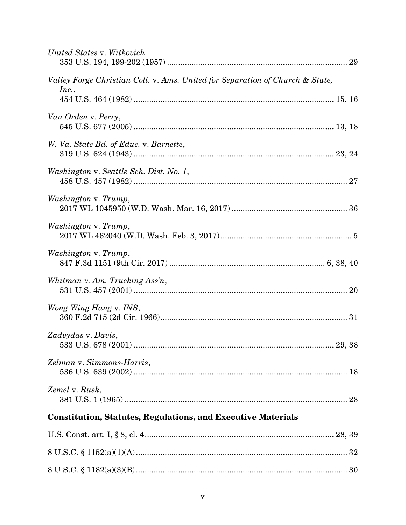| United States v. Witkovich                                                                                                                                                                                                                                                                                               |
|--------------------------------------------------------------------------------------------------------------------------------------------------------------------------------------------------------------------------------------------------------------------------------------------------------------------------|
| Valley Forge Christian Coll. v. Ams. United for Separation of Church & State,<br>Inc.,                                                                                                                                                                                                                                   |
|                                                                                                                                                                                                                                                                                                                          |
| Van Orden v. Perry,                                                                                                                                                                                                                                                                                                      |
| W. Va. State Bd. of Educ. v. Barnette,                                                                                                                                                                                                                                                                                   |
| Washington v. Seattle Sch. Dist. No. 1,                                                                                                                                                                                                                                                                                  |
| Washington v. Trump,<br>$2017\ \text{WL}\ 1045950\ \text{(W.D. Wash. Mar. 16, 2017)}\ \dots\hspace*{1.5mm}\dots\hspace*{1.5mm}\dots\hspace*{1.5mm}\dots\hspace*{1.5mm}\dots\hspace*{1.5mm}\dots\hspace*{1.5mm}\dots\hspace*{1.5mm}\dots\hspace*{1.5mm}\dots\hspace*{1.5mm}\dots\hspace*{1.5mm}\dots\hspace*{1.5mm}\dots$ |
| Washington v. Trump,                                                                                                                                                                                                                                                                                                     |
| Washington v. Trump,                                                                                                                                                                                                                                                                                                     |
| Whitman v. Am. Trucking Ass'n,                                                                                                                                                                                                                                                                                           |
| Wong Wing Hang v. INS,                                                                                                                                                                                                                                                                                                   |
| Zadvydas v. Davis,                                                                                                                                                                                                                                                                                                       |
| Zelman v. Simmons-Harris,                                                                                                                                                                                                                                                                                                |
| Zemel v. Rusk,                                                                                                                                                                                                                                                                                                           |
| <b>Constitution, Statutes, Regulations, and Executive Materials</b>                                                                                                                                                                                                                                                      |
|                                                                                                                                                                                                                                                                                                                          |
|                                                                                                                                                                                                                                                                                                                          |
|                                                                                                                                                                                                                                                                                                                          |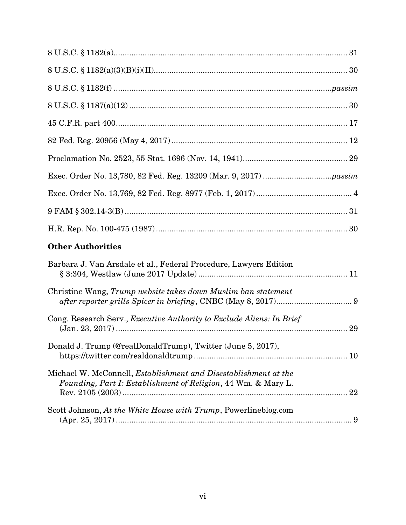| <b>Other Authorities</b>                                                                                                                |  |
|-----------------------------------------------------------------------------------------------------------------------------------------|--|
| Barbara J. Van Arsdale et al., Federal Procedure, Lawyers Edition                                                                       |  |
| Christine Wang, Trump website takes down Muslim ban statement                                                                           |  |
| Cong. Research Serv., <i>Executive Authority to Exclude Aliens: In Brief</i>                                                            |  |
| Donald J. Trump (@realDonaldTrump), Twitter (June 5, 2017),                                                                             |  |
| Michael W. McConnell, <i>Establishment and Disestablishment at the</i><br>Founding, Part I: Establishment of Religion, 44 Wm. & Mary L. |  |
| Scott Johnson, At the White House with Trump, Powerlineblog.com                                                                         |  |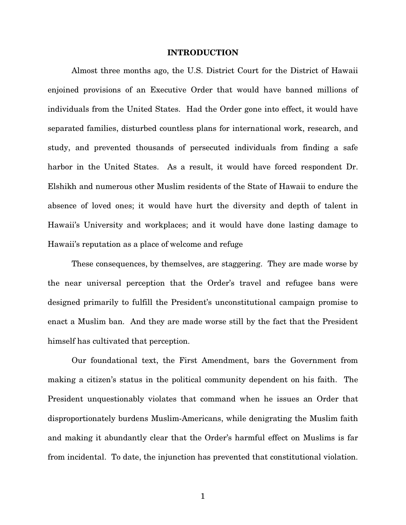#### INTRODUCTION

Almost three months ago, the U.S. District Court for the District of Hawaii enjoined provisions of an Executive Order that would have banned millions of individuals from the United States. Had the Order gone into effect, it would have separated families, disturbed countless plans for international work, research, and study, and prevented thousands of persecuted individuals from finding a safe harbor in the United States. As a result, it would have forced respondent Dr. Elshikh and numerous other Muslim residents of the State of Hawaii to endure the absence of loved ones; it would have hurt the diversity and depth of talent in Hawaii's University and workplaces; and it would have done lasting damage to Hawaii's reputation as a place of welcome and refuge

These consequences, by themselves, are staggering. They are made worse by the near universal perception that the Order's travel and refugee bans were designed primarily to fulfill the President's unconstitutional campaign promise to enact a Muslim ban. And they are made worse still by the fact that the President himself has cultivated that perception.

Our foundational text, the First Amendment, bars the Government from making a citizen's status in the political community dependent on his faith. The President unquestionably violates that command when he issues an Order that disproportionately burdens Muslim-Americans, while denigrating the Muslim faith and making it abundantly clear that the Order's harmful effect on Muslims is far from incidental. To date, the injunction has prevented that constitutional violation.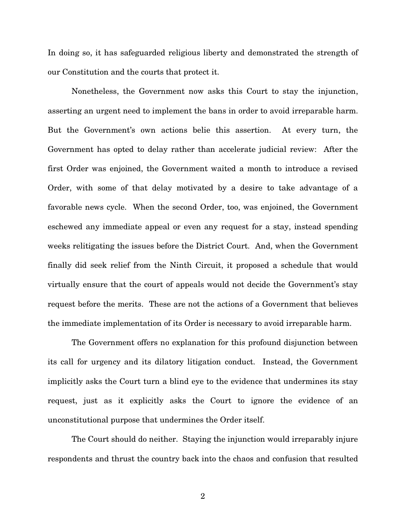In doing so, it has safeguarded religious liberty and demonstrated the strength of our Constitution and the courts that protect it.

Nonetheless, the Government now asks this Court to stay the injunction, asserting an urgent need to implement the bans in order to avoid irreparable harm. But the Government's own actions belie this assertion. At every turn, the Government has opted to delay rather than accelerate judicial review: After the first Order was enjoined, the Government waited a month to introduce a revised Order, with some of that delay motivated by a desire to take advantage of a favorable news cycle. When the second Order, too, was enjoined, the Government eschewed any immediate appeal or even any request for a stay, instead spending weeks relitigating the issues before the District Court. And, when the Government finally did seek relief from the Ninth Circuit, it proposed a schedule that would virtually ensure that the court of appeals would not decide the Government's stay request before the merits. These are not the actions of a Government that believes the immediate implementation of its Order is necessary to avoid irreparable harm.

The Government offers no explanation for this profound disjunction between its call for urgency and its dilatory litigation conduct. Instead, the Government implicitly asks the Court turn a blind eye to the evidence that undermines its stay request, just as it explicitly asks the Court to ignore the evidence of an unconstitutional purpose that undermines the Order itself.

The Court should do neither. Staying the injunction would irreparably injure respondents and thrust the country back into the chaos and confusion that resulted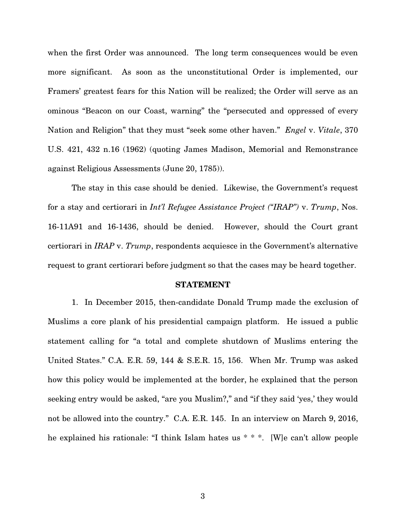when the first Order was announced. The long term consequences would be even more significant. As soon as the unconstitutional Order is implemented, our Framers' greatest fears for this Nation will be realized; the Order will serve as an ominous "Beacon on our Coast, warning" the "persecuted and oppressed of every Nation and Religion" that they must "seek some other haven." *Engel* v. *Vitale*, 370 U.S. 421, 432 n.16 (1962) (quoting James Madison, Memorial and Remonstrance against Religious Assessments (June 20, 1785)).

The stay in this case should be denied. Likewise, the Government's request for a stay and certiorari in *Int'l Refugee Assistance Project ("IRAP")* v. *Trump*, Nos. 16-11A91 and 16-1436, should be denied. However, should the Court grant certiorari in *IRAP* v. *Trump*, respondents acquiesce in the Government's alternative request to grant certiorari before judgment so that the cases may be heard together.

#### STATEMENT

1. In December 2015, then-candidate Donald Trump made the exclusion of Muslims a core plank of his presidential campaign platform. He issued a public statement calling for "a total and complete shutdown of Muslims entering the United States." C.A. E.R. 59, 144 & S.E.R. 15, 156. When Mr. Trump was asked how this policy would be implemented at the border, he explained that the person seeking entry would be asked, "are you Muslim?," and "if they said 'yes,' they would not be allowed into the country." C.A. E.R. 145. In an interview on March 9, 2016, he explained his rationale: "I think Islam hates us \* \* \*. [W]e can't allow people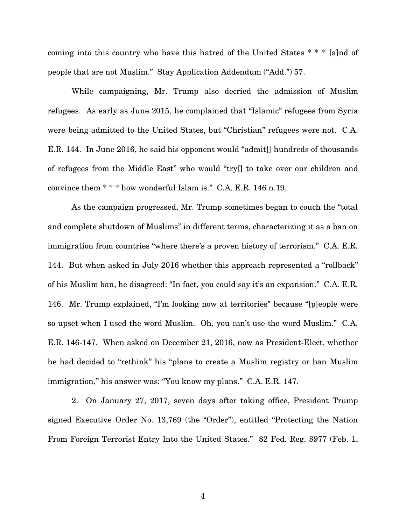coming into this country who have this hatred of the United States \* \* \* [a]nd of people that are not Muslim." Stay Application Addendum ("Add.") 57.

While campaigning, Mr. Trump also decried the admission of Muslim refugees. As early as June 2015, he complained that "Islamic" refugees from Syria were being admitted to the United States, but "Christian" refugees were not. C.A. E.R. 144. In June 2016, he said his opponent would "admit[] hundreds of thousands of refugees from the Middle East" who would "try[] to take over our children and convince them \* \* \* how wonderful Islam is." C.A. E.R. 146 n.19.

As the campaign progressed, Mr. Trump sometimes began to couch the "total and complete shutdown of Muslims" in different terms, characterizing it as a ban on immigration from countries "where there's a proven history of terrorism." C.A. E.R. 144. But when asked in July 2016 whether this approach represented a "rollback" of his Muslim ban, he disagreed: "In fact, you could say it's an expansion." C.A. E.R. 146. Mr. Trump explained, "I'm looking now at territories" because "[p]eople were so upset when I used the word Muslim. Oh, you can't use the word Muslim." C.A. E.R. 146-147. When asked on December 21, 2016, now as President-Elect, whether he had decided to "rethink" his "plans to create a Muslim registry or ban Muslim immigration," his answer was: "You know my plans." C.A. E.R. 147.

2. On January 27, 2017, seven days after taking office, President Trump signed Executive Order No. 13,769 (the "Order"), entitled "Protecting the Nation From Foreign Terrorist Entry Into the United States." 82 Fed. Reg. 8977 (Feb. 1,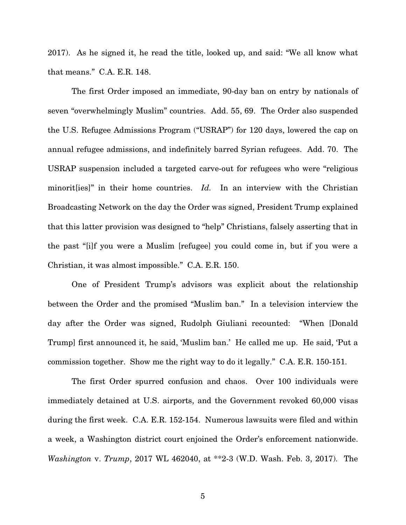2017). As he signed it, he read the title, looked up, and said: "We all know what that means." C.A. E.R. 148.

The first Order imposed an immediate, 90-day ban on entry by nationals of seven "overwhelmingly Muslim" countries. Add. 55, 69. The Order also suspended the U.S. Refugee Admissions Program ("USRAP") for 120 days, lowered the cap on annual refugee admissions, and indefinitely barred Syrian refugees. Add. 70.The USRAP suspension included a targeted carve-out for refugees who were "religious minorities]" in their home countries. *Id.* In an interview with the Christian Broadcasting Network on the day the Order was signed, President Trump explained that this latter provision was designed to "help" Christians, falsely asserting that in the past "[i]f you were a Muslim [refugee] you could come in, but if you were a Christian, it was almost impossible." C.A. E.R. 150.

One of President Trump's advisors was explicit about the relationship between the Order and the promised "Muslim ban." In a television interview the day after the Order was signed, Rudolph Giuliani recounted: "When [Donald Trump] first announced it, he said, 'Muslim ban.' He called me up. He said, 'Put a commission together. Show me the right way to do it legally." C.A. E.R. 150-151.

The first Order spurred confusion and chaos. Over 100 individuals were immediately detained at U.S. airports, and the Government revoked 60,000 visas during the first week. C.A. E.R. 152-154. Numerous lawsuits were filed and within a week, a Washington district court enjoined the Order's enforcement nationwide. *Washington* v. *Trump*, 2017 WL 462040, at \*\*2-3 (W.D. Wash. Feb. 3, 2017). The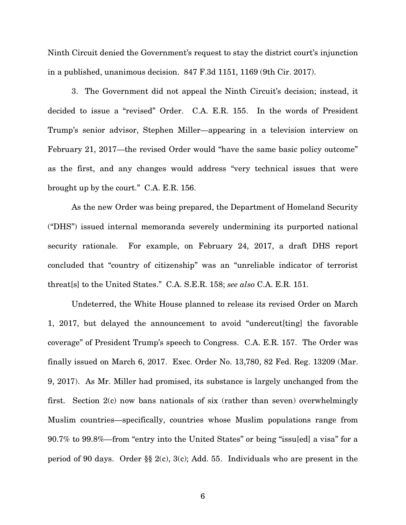Ninth Circuit denied the Government's request to stay the district court's injunction in a published, unanimous decision. 847 F.3d 1151, 1169 (9th Cir. 2017).

3. The Government did not appeal the Ninth Circuit's decision; instead, it decided to issue a "revised" Order. C.A. E.R. 155. In the words of President Trump's senior advisor, Stephen Miller—appearing in a television interview on February 21, 2017—the revised Order would "have the same basic policy outcome" as the first, and any changes would address "very technical issues that were brought up by the court." C.A. E.R. 156.

As the new Order was being prepared, the Department of Homeland Security ("DHS") issued internal memoranda severely undermining its purported national security rationale. For example, on February 24, 2017, a draft DHS report concluded that "country of citizenship" was an "unreliable indicator of terrorist threat[s] to the United States." C.A. S.E.R. 158; *see also* C.A. E.R. 151.

Undeterred, the White House planned to release its revised Order on March 1, 2017, but delayed the announcement to avoid "undercut[ting] the favorable coverage" of President Trump's speech to Congress. C.A. E.R. 157. The Order was finally issued on March 6, 2017. Exec. Order No. 13,780, 82 Fed. Reg. 13209 (Mar. 9, 2017). As Mr. Miller had promised, its substance is largely unchanged from the first. Section 2(c) now bans nationals of six (rather than seven) overwhelmingly Muslim countries—specifically, countries whose Muslim populations range from 90.7% to 99.8%—from "entry into the United States" or being "issu[ed] a visa" for a period of 90 days. Order §§ 2(c), 3(c); Add. 55. Individuals who are present in the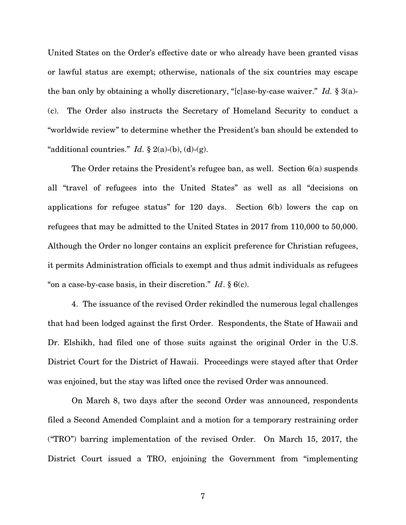United States on the Order's effective date or who already have been granted visas or lawful status are exempt; otherwise, nationals of the six countries may escape the ban only by obtaining a wholly discretionary, "[c]ase-by-case waiver." *Id.* § 3(a)- (c). The Order also instructs the Secretary of Homeland Security to conduct a "worldwide review" to determine whether the President's ban should be extended to "additional countries." *Id.*  $\S$  2(a)-(b), (d)-(g).

The Order retains the President's refugee ban, as well. Section 6(a) suspends all "travel of refugees into the United States" as well as all "decisions on applications for refugee status" for 120 days. Section 6(b) lowers the cap on refugees that may be admitted to the United States in 2017 from 110,000 to 50,000. Although the Order no longer contains an explicit preference for Christian refugees, it permits Administration officials to exempt and thus admit individuals as refugees "on a case-by-case basis, in their discretion." *Id*. § 6(c).

4. The issuance of the revised Order rekindled the numerous legal challenges that had been lodged against the first Order. Respondents, the State of Hawaii and Dr. Elshikh, had filed one of those suits against the original Order in the U.S. District Court for the District of Hawaii. Proceedings were stayed after that Order was enjoined, but the stay was lifted once the revised Order was announced.

On March 8, two days after the second Order was announced, respondents filed a Second Amended Complaint and a motion for a temporary restraining order ("TRO") barring implementation of the revised Order. On March 15, 2017, the District Court issued a TRO, enjoining the Government from "implementing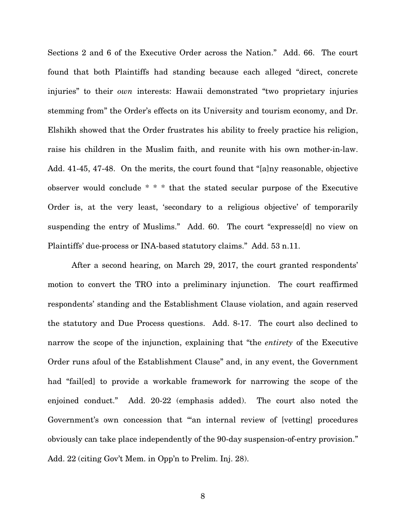Sections 2 and 6 of the Executive Order across the Nation." Add. 66. The court found that both Plaintiffs had standing because each alleged "direct, concrete injuries" to their *own* interests: Hawaii demonstrated "two proprietary injuries stemming from" the Order's effects on its University and tourism economy, and Dr. Elshikh showed that the Order frustrates his ability to freely practice his religion, raise his children in the Muslim faith, and reunite with his own mother-in-law. Add. 41-45, 47-48. On the merits, the court found that "[a]ny reasonable, objective observer would conclude \* \* \* that the stated secular purpose of the Executive Order is, at the very least, 'secondary to a religious objective' of temporarily suspending the entry of Muslims." Add. 60. The court "expresse[d] no view on Plaintiffs' due-process or INA-based statutory claims." Add. 53 n.11.

After a second hearing, on March 29, 2017, the court granted respondents' motion to convert the TRO into a preliminary injunction. The court reaffirmed respondents' standing and the Establishment Clause violation, and again reserved the statutory and Due Process questions. Add. 8-17. The court also declined to narrow the scope of the injunction, explaining that "the *entirety* of the Executive Order runs afoul of the Establishment Clause" and, in any event, the Government had "fail[ed] to provide a workable framework for narrowing the scope of the enjoined conduct." Add. 20-22 (emphasis added). The court also noted the Government's own concession that ""an internal review of [vetting] procedures obviously can take place independently of the 90-day suspension-of-entry provision." Add. 22 (citing Gov't Mem. in Opp'n to Prelim. Inj. 28).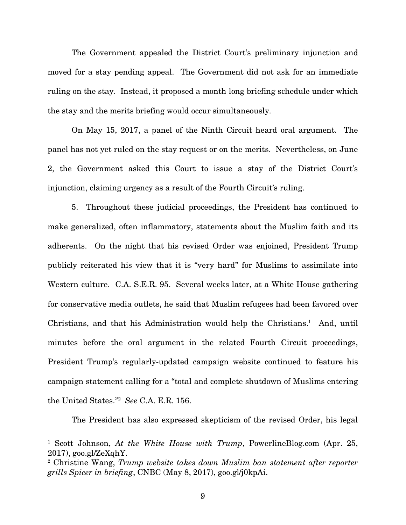The Government appealed the District Court's preliminary injunction and moved for a stay pending appeal. The Government did not ask for an immediate ruling on the stay. Instead, it proposed a month long briefing schedule under which the stay and the merits briefing would occur simultaneously.

On May 15, 2017, a panel of the Ninth Circuit heard oral argument. The panel has not yet ruled on the stay request or on the merits. Nevertheless, on June 2, the Government asked this Court to issue a stay of the District Court's injunction, claiming urgency as a result of the Fourth Circuit's ruling.

5. Throughout these judicial proceedings, the President has continued to make generalized, often inflammatory, statements about the Muslim faith and its adherents. On the night that his revised Order was enjoined, President Trump publicly reiterated his view that it is "very hard" for Muslims to assimilate into Western culture. C.A. S.E.R. 95. Several weeks later, at a White House gathering for conservative media outlets, he said that Muslim refugees had been favored over Christians, and that his Administration would help the Christians.<sup>1</sup> And, until minutes before the oral argument in the related Fourth Circuit proceedings, President Trump's regularly-updated campaign website continued to feature his campaign statement calling for a "total and complete shutdown of Muslims entering the United States."<sup>2</sup> *See* C.A. E.R. 156.

The President has also expressed skepticism of the revised Order, his legal

<u>.</u>

<sup>&</sup>lt;sup>1</sup> Scott Johnson, *At the White House with Trump*, PowerlineBlog.com (Apr. 25, 2017), goo.gl/ZeXqhY.

<sup>2</sup> Christine Wang, *Trump website takes down Muslim ban statement after reporter grills Spicer in briefing*, CNBC (May 8, 2017), goo.gl/j0kpAi.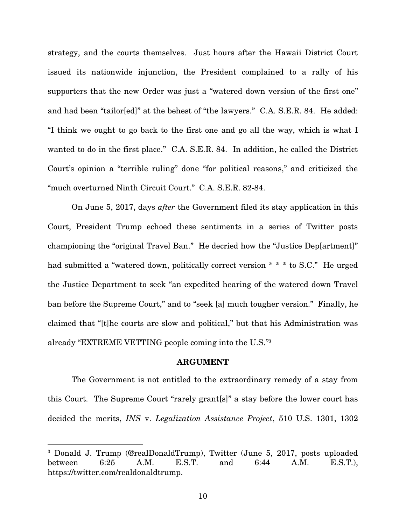strategy, and the courts themselves. Just hours after the Hawaii District Court issued its nationwide injunction, the President complained to a rally of his supporters that the new Order was just a "watered down version of the first one" and had been "tailor[ed]" at the behest of "the lawyers." C.A. S.E.R. 84. He added: "I think we ought to go back to the first one and go all the way, which is what I wanted to do in the first place." C.A. S.E.R. 84. In addition, he called the District Court's opinion a "terrible ruling" done "for political reasons," and criticized the "much overturned Ninth Circuit Court." C.A. S.E.R. 82-84.

On June 5, 2017, days *after* the Government filed its stay application in this Court, President Trump echoed these sentiments in a series of Twitter posts championing the "original Travel Ban." He decried how the "Justice Dep[artment]" had submitted a "watered down, politically correct version \* \* \* to S.C." He urged the Justice Department to seek "an expedited hearing of the watered down Travel ban before the Supreme Court," and to "seek [a] much tougher version." Finally, he claimed that "[t]he courts are slow and political," but that his Administration was already "EXTREME VETTING people coming into the U.S."<sup>3</sup>

#### ARGUMENT

The Government is not entitled to the extraordinary remedy of a stay from this Court. The Supreme Court "rarely grant[s]" a stay before the lower court has decided the merits, *INS* v. *Legalization Assistance Project*, 510 U.S. 1301, 1302

 $\overline{a}$ 

<sup>3</sup> Donald J. Trump (@realDonaldTrump), Twitter (June 5, 2017, posts uploaded between 6:25 A.M. E.S.T. and 6:44 A.M. E.S.T.), https://twitter.com/realdonaldtrump.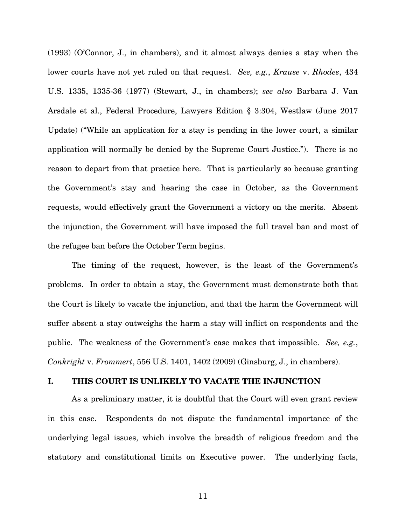(1993) (O'Connor, J., in chambers), and it almost always denies a stay when the lower courts have not yet ruled on that request. *See, e.g.*, *Krause* v. *Rhodes*, 434 U.S. 1335, 1335-36 (1977) (Stewart, J., in chambers); *see also* Barbara J. Van Arsdale et al., Federal Procedure, Lawyers Edition § 3:304, Westlaw (June 2017 Update) ("While an application for a stay is pending in the lower court, a similar application will normally be denied by the Supreme Court Justice."). There is no reason to depart from that practice here. That is particularly so because granting the Government's stay and hearing the case in October, as the Government requests, would effectively grant the Government a victory on the merits. Absent the injunction, the Government will have imposed the full travel ban and most of the refugee ban before the October Term begins.

The timing of the request, however, is the least of the Government's problems. In order to obtain a stay, the Government must demonstrate both that the Court is likely to vacate the injunction, and that the harm the Government will suffer absent a stay outweighs the harm a stay will inflict on respondents and the public. The weakness of the Government's case makes that impossible. *See, e.g.*, *Conkright* v. *Frommert*, 556 U.S. 1401, 1402 (2009) (Ginsburg, J., in chambers).

#### I. THIS COURT IS UNLIKELY TO VACATE THE INJUNCTION

As a preliminary matter, it is doubtful that the Court will even grant review in this case. Respondents do not dispute the fundamental importance of the underlying legal issues, which involve the breadth of religious freedom and the statutory and constitutional limits on Executive power. The underlying facts,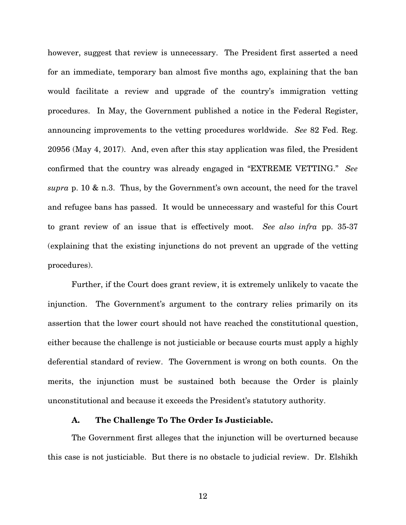however, suggest that review is unnecessary. The President first asserted a need for an immediate, temporary ban almost five months ago, explaining that the ban would facilitate a review and upgrade of the country's immigration vetting procedures. In May, the Government published a notice in the Federal Register, announcing improvements to the vetting procedures worldwide. *See* 82 Fed. Reg. 20956 (May 4, 2017). And, even after this stay application was filed, the President confirmed that the country was already engaged in "EXTREME VETTING." *See supra* p. 10 & n.3. Thus, by the Government's own account, the need for the travel and refugee bans has passed. It would be unnecessary and wasteful for this Court to grant review of an issue that is effectively moot. *See also infra* pp. 35-37 (explaining that the existing injunctions do not prevent an upgrade of the vetting procedures).

Further, if the Court does grant review, it is extremely unlikely to vacate the injunction. The Government's argument to the contrary relies primarily on its assertion that the lower court should not have reached the constitutional question, either because the challenge is not justiciable or because courts must apply a highly deferential standard of review. The Government is wrong on both counts. On the merits, the injunction must be sustained both because the Order is plainly unconstitutional and because it exceeds the President's statutory authority.

### A. The Challenge To The Order Is Justiciable.

The Government first alleges that the injunction will be overturned because this case is not justiciable. But there is no obstacle to judicial review. Dr. Elshikh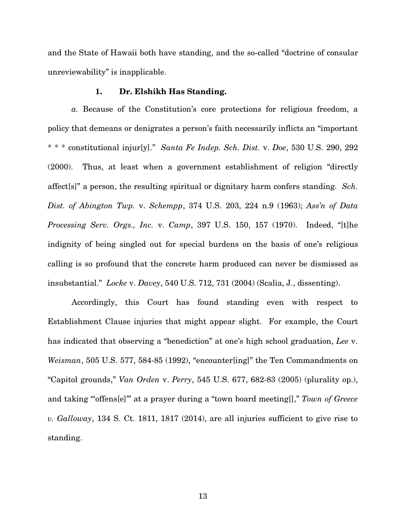and the State of Hawaii both have standing, and the so-called "doctrine of consular unreviewability" is inapplicable.

#### 1. Dr. Elshikh Has Standing.

*a.* Because of the Constitution's core protections for religious freedom, a policy that demeans or denigrates a person's faith necessarily inflicts an "important \* \* \* constitutional injur[y]." *Santa Fe Indep. Sch. Dist.* v. *Doe*, 530 U.S. 290, 292 (2000). Thus, at least when a government establishment of religion "directly affect[s]" a person, the resulting spiritual or dignitary harm confers standing. *Sch. Dist. of Abington Twp.* v. *Schempp*, 374 U.S. 203, 224 n.9 (1963); *Ass'n of Data Processing Serv. Orgs., Inc.* v. *Camp*, 397 U.S. 150, 157 (1970). Indeed, "[t]he indignity of being singled out for special burdens on the basis of one's religious calling is so profound that the concrete harm produced can never be dismissed as insubstantial." *Locke* v. *Davey*, 540 U.S. 712, 731 (2004) (Scalia, J., dissenting).

Accordingly, this Court has found standing even with respect to Establishment Clause injuries that might appear slight. For example, the Court has indicated that observing a "benediction" at one's high school graduation, *Lee* v. *Weisman*, 505 U.S. 577, 584-85 (1992), "encounter[ing]" the Ten Commandments on "Capitol grounds," *Van Orden* v. *Perry*, 545 U.S. 677, 682-83 (2005) (plurality op.), and taking ""offens[e]" at a prayer during a "town board meeting[]," Town of Greece *v. Galloway*, 134 S. Ct. 1811, 1817 (2014), are all injuries sufficient to give rise to standing.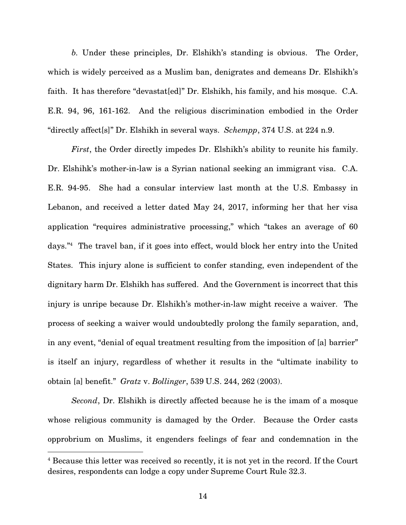*b.* Under these principles, Dr. Elshikh's standing is obvious. The Order, which is widely perceived as a Muslim ban, denigrates and demeans Dr. Elshikh's faith. It has therefore "devastat[ed]" Dr. Elshikh, his family, and his mosque. C.A. E.R. 94, 96, 161-162. And the religious discrimination embodied in the Order "directly affect[s]" Dr. Elshikh in several ways. *Schempp*, 374 U.S. at 224 n.9.

*First*, the Order directly impedes Dr. Elshikh's ability to reunite his family. Dr. Elshihk's mother-in-law is a Syrian national seeking an immigrant visa. C.A. E.R. 94-95. She had a consular interview last month at the U.S. Embassy in Lebanon, and received a letter dated May 24, 2017, informing her that her visa application "requires administrative processing," which "takes an average of 60 days."<sup>4</sup> The travel ban, if it goes into effect, would block her entry into the United States. This injury alone is sufficient to confer standing, even independent of the dignitary harm Dr. Elshikh has suffered. And the Government is incorrect that this injury is unripe because Dr. Elshikh's mother-in-law might receive a waiver. The process of seeking a waiver would undoubtedly prolong the family separation, and, in any event, "denial of equal treatment resulting from the imposition of [a] barrier" is itself an injury, regardless of whether it results in the "ultimate inability to obtain [a] benefit." *Gratz* v. *Bollinger*, 539 U.S. 244, 262 (2003).

*Second*, Dr. Elshikh is directly affected because he is the imam of a mosque whose religious community is damaged by the Order. Because the Order casts opprobrium on Muslims, it engenders feelings of fear and condemnation in the

 $\overline{a}$ 

<sup>4</sup> Because this letter was received so recently, it is not yet in the record. If the Court desires, respondents can lodge a copy under Supreme Court Rule 32.3.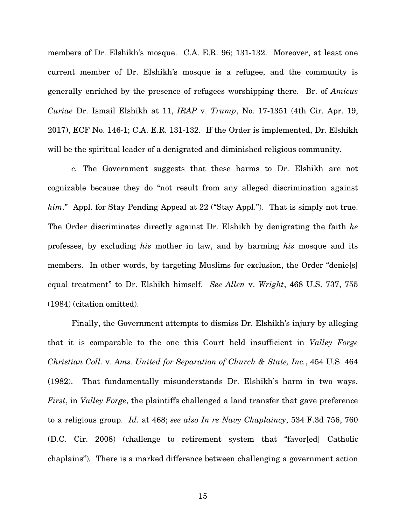members of Dr. Elshikh's mosque. C.A. E.R. 96; 131-132. Moreover, at least one current member of Dr. Elshikh's mosque is a refugee, and the community is generally enriched by the presence of refugees worshipping there. Br. of *Amicus Curiae* Dr. Ismail Elshikh at 11, *IRAP* v. *Trump*, No. 17-1351 (4th Cir. Apr. 19, 2017), ECF No. 146-1; C.A. E.R. 131-132. If the Order is implemented, Dr. Elshikh will be the spiritual leader of a denigrated and diminished religious community.

*c.* The Government suggests that these harms to Dr. Elshikh are not cognizable because they do "not result from any alleged discrimination against him." Appl. for Stay Pending Appeal at 22 ("Stay Appl."). That is simply not true. The Order discriminates directly against Dr. Elshikh by denigrating the faith *he* professes, by excluding *his* mother in law, and by harming *his* mosque and its members. In other words, by targeting Muslims for exclusion, the Order "denie[s] equal treatment" to Dr. Elshikh himself. *See Allen* v. *Wright*, 468 U.S. 737, 755 (1984) (citation omitted).

Finally, the Government attempts to dismiss Dr. Elshikh's injury by alleging that it is comparable to the one this Court held insufficient in *Valley Forge Christian Coll.* v. *Ams. United for Separation of Church & State, Inc.*, 454 U.S. 464 (1982). That fundamentally misunderstands Dr. Elshikh's harm in two ways. *First*, in *Valley Forge*, the plaintiffs challenged a land transfer that gave preference to a religious group. *Id.* at 468; *see also In re Navy Chaplaincy*, 534 F.3d 756, 760 (D.C. Cir. 2008) (challenge to retirement system that "favor[ed] Catholic chaplains")*.* There is a marked difference between challenging a government action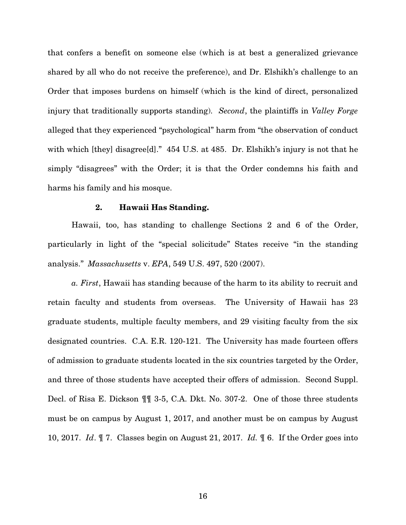that confers a benefit on someone else (which is at best a generalized grievance shared by all who do not receive the preference), and Dr. Elshikh's challenge to an Order that imposes burdens on himself (which is the kind of direct, personalized injury that traditionally supports standing). *Second*, the plaintiffs in *Valley Forge*  alleged that they experienced "psychological" harm from "the observation of conduct with which [they] disagree<sup>[d]</sup>." 454 U.S. at 485. Dr. Elshikh's injury is not that he simply "disagrees" with the Order; it is that the Order condemns his faith and harms his family and his mosque.

#### 2. Hawaii Has Standing.

Hawaii, too, has standing to challenge Sections 2 and 6 of the Order, particularly in light of the "special solicitude" States receive "in the standing analysis." *Massachusetts* v. *EPA*, 549 U.S. 497, 520 (2007).

*a. First*, Hawaii has standing because of the harm to its ability to recruit and retain faculty and students from overseas. The University of Hawaii has 23 graduate students, multiple faculty members, and 29 visiting faculty from the six designated countries. C.A. E.R. 120-121. The University has made fourteen offers of admission to graduate students located in the six countries targeted by the Order, and three of those students have accepted their offers of admission. Second Suppl. Decl. of Risa E. Dickson ¶¶ 3-5, C.A. Dkt. No. 307-2. One of those three students must be on campus by August 1, 2017, and another must be on campus by August 10, 2017. *Id*. ¶ 7. Classes begin on August 21, 2017. *Id.* ¶ 6. If the Order goes into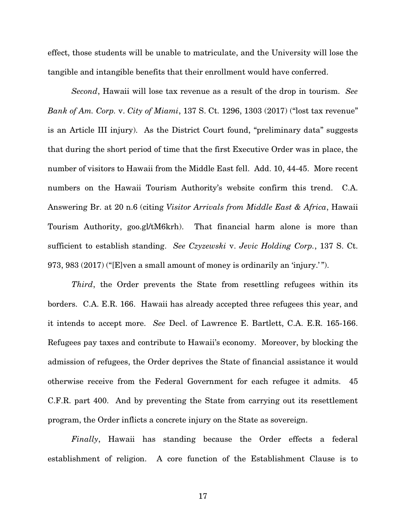effect, those students will be unable to matriculate, and the University will lose the tangible and intangible benefits that their enrollment would have conferred.

*Second*, Hawaii will lose tax revenue as a result of the drop in tourism. *See Bank of Am. Corp.* v. *City of Miami*, 137 S. Ct. 1296, 1303 (2017) ("lost tax revenue" is an Article III injury). As the District Court found, "preliminary data" suggests that during the short period of time that the first Executive Order was in place, the number of visitors to Hawaii from the Middle East fell. Add. 10, 44-45. More recent numbers on the Hawaii Tourism Authority's website confirm this trend. C.A. Answering Br. at 20 n.6 (citing *Visitor Arrivals from Middle East & Africa*, Hawaii Tourism Authority, goo.gl/tM6krh). That financial harm alone is more than sufficient to establish standing. *See Czyzewski* v. *Jevic Holding Corp.*, 137 S. Ct. 973, 983 (2017) ("[E]ven a small amount of money is ordinarily an 'injury.' ").

*Third*, the Order prevents the State from resettling refugees within its borders. C.A. E.R. 166. Hawaii has already accepted three refugees this year, and it intends to accept more. *See* Decl. of Lawrence E. Bartlett, C.A. E.R. 165-166. Refugees pay taxes and contribute to Hawaii's economy. Moreover, by blocking the admission of refugees, the Order deprives the State of financial assistance it would otherwise receive from the Federal Government for each refugee it admits. 45 C.F.R. part 400. And by preventing the State from carrying out its resettlement program, the Order inflicts a concrete injury on the State as sovereign.

*Finally*, Hawaii has standing because the Order effects a federal establishment of religion. A core function of the Establishment Clause is to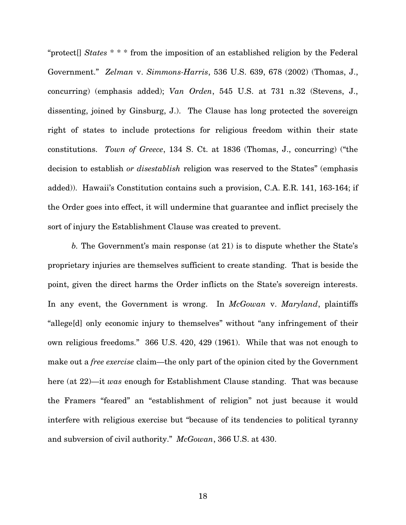"protect[] *States* \* \* \* from the imposition of an established religion by the Federal Government." *Zelman* v. *Simmons-Harris*, 536 U.S. 639, 678 (2002) (Thomas, J., concurring) (emphasis added); *Van Orden*, 545 U.S. at 731 n.32 (Stevens, J., dissenting, joined by Ginsburg, J.). The Clause has long protected the sovereign right of states to include protections for religious freedom within their state constitutions. *Town of Greece*, 134 S. Ct. at 1836 (Thomas, J., concurring) ("the decision to establish *or disestablish* religion was reserved to the States" (emphasis added)). Hawaii's Constitution contains such a provision, C.A. E.R. 141, 163-164; if the Order goes into effect, it will undermine that guarantee and inflict precisely the sort of injury the Establishment Clause was created to prevent.

*b.* The Government's main response (at 21) is to dispute whether the State's proprietary injuries are themselves sufficient to create standing. That is beside the point, given the direct harms the Order inflicts on the State's sovereign interests. In any event, the Government is wrong. In *McGowan* v. *Maryland*, plaintiffs "allege[d] only economic injury to themselves" without "any infringement of their own religious freedoms." 366 U.S. 420, 429 (1961). While that was not enough to make out a *free exercise* claim—the only part of the opinion cited by the Government here (at 22)—it *was* enough for Establishment Clause standing. That was because the Framers "feared" an "establishment of religion" not just because it would interfere with religious exercise but "because of its tendencies to political tyranny and subversion of civil authority." *McGowan*, 366 U.S. at 430.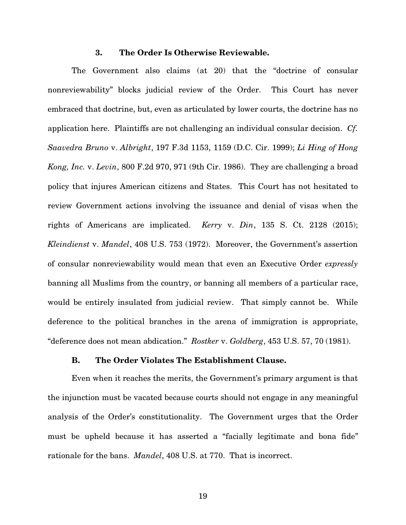#### 3. The Order Is Otherwise Reviewable.

The Government also claims (at 20) that the "doctrine of consular nonreviewability" blocks judicial review of the Order. This Court has never embraced that doctrine, but, even as articulated by lower courts, the doctrine has no application here. Plaintiffs are not challenging an individual consular decision. *Cf. Saavedra Bruno* v. *Albright*, 197 F.3d 1153, 1159 (D.C. Cir. 1999); *Li Hing of Hong Kong, Inc.* v. *Levin*, 800 F.2d 970, 971 (9th Cir. 1986). They are challenging a broad policy that injures American citizens and States. This Court has not hesitated to review Government actions involving the issuance and denial of visas when the rights of Americans are implicated. *Kerry* v. *Din*, 135 S. Ct. 2128 (2015); *Kleindienst* v. *Mandel*, 408 U.S. 753 (1972). Moreover, the Government's assertion of consular nonreviewability would mean that even an Executive Order *expressly* banning all Muslims from the country, or banning all members of a particular race, would be entirely insulated from judicial review. That simply cannot be. While deference to the political branches in the arena of immigration is appropriate, "deference does not mean abdication." *Rostker* v. *Goldberg*, 453 U.S. 57, 70 (1981).

#### B. The Order Violates The Establishment Clause.

Even when it reaches the merits, the Government's primary argument is that the injunction must be vacated because courts should not engage in any meaningful analysis of the Order's constitutionality. The Government urges that the Order must be upheld because it has asserted a "facially legitimate and bona fide" rationale for the bans. *Mandel*, 408 U.S. at 770.That is incorrect.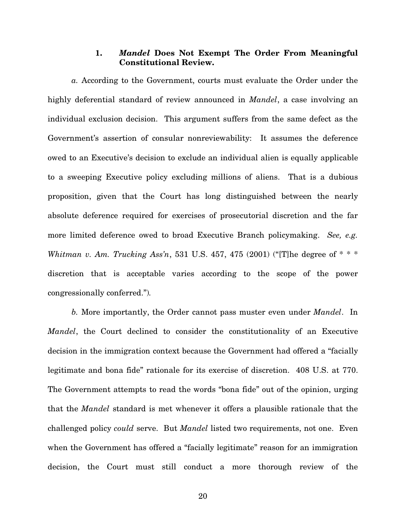## 1. Mandel Does Not Exempt The Order From Meaningful Constitutional Review.

*a.* According to the Government, courts must evaluate the Order under the highly deferential standard of review announced in *Mandel*, a case involving an individual exclusion decision. This argument suffers from the same defect as the Government's assertion of consular nonreviewability: It assumes the deference owed to an Executive's decision to exclude an individual alien is equally applicable to a sweeping Executive policy excluding millions of aliens. That is a dubious proposition, given that the Court has long distinguished between the nearly absolute deference required for exercises of prosecutorial discretion and the far more limited deference owed to broad Executive Branch policymaking. *See, e.g. Whitman v. Am. Trucking Ass'n*, 531 U.S. 457, 475 (2001) ("[T]he degree of \* \* \* discretion that is acceptable varies according to the scope of the power congressionally conferred.")*.*

*b.* More importantly, the Order cannot pass muster even under *Mandel*. In *Mandel*, the Court declined to consider the constitutionality of an Executive decision in the immigration context because the Government had offered a "facially legitimate and bona fide" rationale for its exercise of discretion. 408 U.S. at 770. The Government attempts to read the words "bona fide" out of the opinion, urging that the *Mandel* standard is met whenever it offers a plausible rationale that the challenged policy *could* serve. But *Mandel* listed two requirements, not one. Even when the Government has offered a "facially legitimate" reason for an immigration decision, the Court must still conduct a more thorough review of the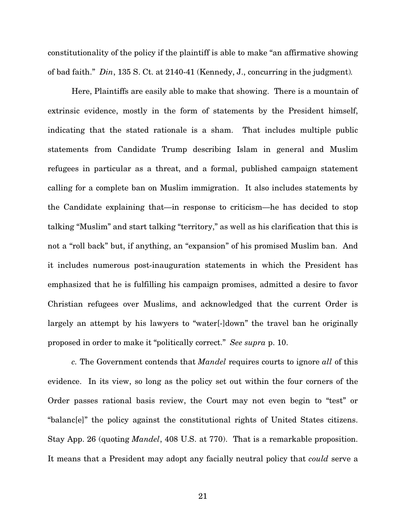constitutionality of the policy if the plaintiff is able to make "an affirmative showing of bad faith." *Din*, 135 S. Ct. at 2140-41 (Kennedy, J., concurring in the judgment)*.* 

Here, Plaintiffs are easily able to make that showing. There is a mountain of extrinsic evidence, mostly in the form of statements by the President himself, indicating that the stated rationale is a sham. That includes multiple public statements from Candidate Trump describing Islam in general and Muslim refugees in particular as a threat, and a formal, published campaign statement calling for a complete ban on Muslim immigration. It also includes statements by the Candidate explaining that—in response to criticism—he has decided to stop talking "Muslim" and start talking "territory," as well as his clarification that this is not a "roll back" but, if anything, an "expansion" of his promised Muslim ban. And it includes numerous post-inauguration statements in which the President has emphasized that he is fulfilling his campaign promises, admitted a desire to favor Christian refugees over Muslims, and acknowledged that the current Order is largely an attempt by his lawyers to "water[-]down" the travel ban he originally proposed in order to make it "politically correct." *See supra* p. 10.

*c.* The Government contends that *Mandel* requires courts to ignore *all* of this evidence. In its view, so long as the policy set out within the four corners of the Order passes rational basis review, the Court may not even begin to "test" or "balanc[e]" the policy against the constitutional rights of United States citizens. Stay App. 26 (quoting *Mandel*, 408 U.S. at 770). That is a remarkable proposition. It means that a President may adopt any facially neutral policy that *could* serve a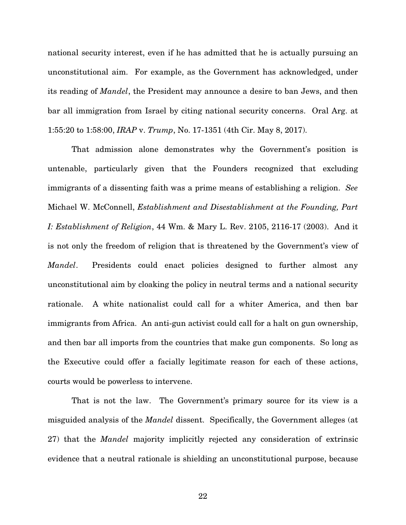national security interest, even if he has admitted that he is actually pursuing an unconstitutional aim. For example, as the Government has acknowledged, under its reading of *Mandel*, the President may announce a desire to ban Jews, and then bar all immigration from Israel by citing national security concerns. Oral Arg. at 1:55:20 to 1:58:00, *IRAP* v. *Trump*, No. 17-1351 (4th Cir. May 8, 2017).

That admission alone demonstrates why the Government's position is untenable, particularly given that the Founders recognized that excluding immigrants of a dissenting faith was a prime means of establishing a religion. *See*  Michael W. McConnell, *Establishment and Disestablishment at the Founding, Part I: Establishment of Religion*, 44 Wm. & Mary L. Rev. 2105, 2116-17 (2003). And it is not only the freedom of religion that is threatened by the Government's view of *Mandel*. Presidents could enact policies designed to further almost any unconstitutional aim by cloaking the policy in neutral terms and a national security rationale. A white nationalist could call for a whiter America, and then bar immigrants from Africa. An anti-gun activist could call for a halt on gun ownership, and then bar all imports from the countries that make gun components. So long as the Executive could offer a facially legitimate reason for each of these actions, courts would be powerless to intervene.

That is not the law. The Government's primary source for its view is a misguided analysis of the *Mandel* dissent. Specifically, the Government alleges (at 27) that the *Mandel* majority implicitly rejected any consideration of extrinsic evidence that a neutral rationale is shielding an unconstitutional purpose, because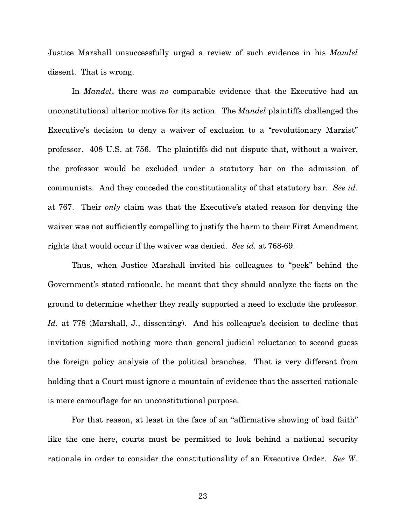Justice Marshall unsuccessfully urged a review of such evidence in his *Mandel*  dissent. That is wrong.

In *Mandel*, there was *no* comparable evidence that the Executive had an unconstitutional ulterior motive for its action. The *Mandel* plaintiffs challenged the Executive's decision to deny a waiver of exclusion to a "revolutionary Marxist" professor. 408 U.S. at 756. The plaintiffs did not dispute that, without a waiver, the professor would be excluded under a statutory bar on the admission of communists. And they conceded the constitutionality of that statutory bar. *See id.*  at 767.Their *only* claim was that the Executive's stated reason for denying the waiver was not sufficiently compelling to justify the harm to their First Amendment rights that would occur if the waiver was denied. *See id.* at 768-69.

Thus, when Justice Marshall invited his colleagues to "peek" behind the Government's stated rationale, he meant that they should analyze the facts on the ground to determine whether they really supported a need to exclude the professor. *Id.* at 778 (Marshall, J., dissenting).And his colleague's decision to decline that invitation signified nothing more than general judicial reluctance to second guess the foreign policy analysis of the political branches. That is very different from holding that a Court must ignore a mountain of evidence that the asserted rationale is mere camouflage for an unconstitutional purpose.

For that reason, at least in the face of an "affirmative showing of bad faith" like the one here, courts must be permitted to look behind a national security rationale in order to consider the constitutionality of an Executive Order. *See W.*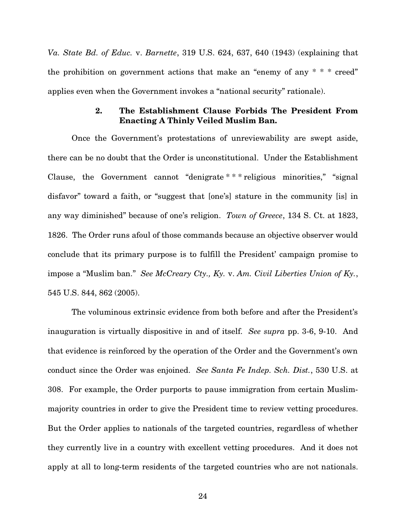*Va. State Bd. of Educ.* v. *Barnette*, 319 U.S. 624, 637, 640 (1943) (explaining that the prohibition on government actions that make an "enemy of any  $* * * \text{cred}$ " applies even when the Government invokes a "national security" rationale).

### 2. The Establishment Clause Forbids The President From Enacting A Thinly Veiled Muslim Ban.

Once the Government's protestations of unreviewability are swept aside, there can be no doubt that the Order is unconstitutional. Under the Establishment Clause, the Government cannot "denigrate \* \* \* religious minorities," "signal disfavor" toward a faith, or "suggest that [one's] stature in the community [is] in any way diminished" because of one's religion. *Town of Greece*, 134 S. Ct. at 1823, 1826. The Order runs afoul of those commands because an objective observer would conclude that its primary purpose is to fulfill the President' campaign promise to impose a "Muslim ban." *See McCreary Cty., Ky.* v. *Am. Civil Liberties Union of Ky.*, 545 U.S. 844, 862 (2005).

The voluminous extrinsic evidence from both before and after the President's inauguration is virtually dispositive in and of itself. *See supra* pp. 3-6, 9-10. And that evidence is reinforced by the operation of the Order and the Government's own conduct since the Order was enjoined. *See Santa Fe Indep. Sch. Dist.*, 530 U.S. at 308. For example, the Order purports to pause immigration from certain Muslimmajority countries in order to give the President time to review vetting procedures. But the Order applies to nationals of the targeted countries, regardless of whether they currently live in a country with excellent vetting procedures. And it does not apply at all to long-term residents of the targeted countries who are not nationals.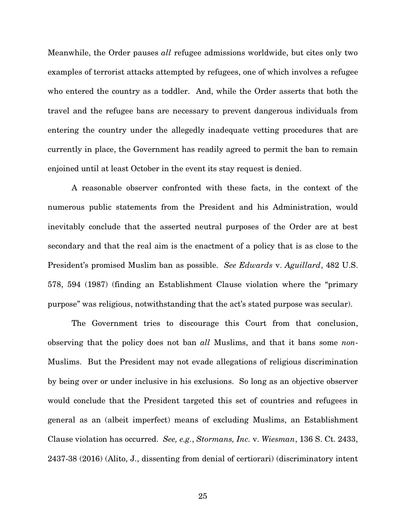Meanwhile, the Order pauses *all* refugee admissions worldwide, but cites only two examples of terrorist attacks attempted by refugees, one of which involves a refugee who entered the country as a toddler. And, while the Order asserts that both the travel and the refugee bans are necessary to prevent dangerous individuals from entering the country under the allegedly inadequate vetting procedures that are currently in place, the Government has readily agreed to permit the ban to remain enjoined until at least October in the event its stay request is denied.

A reasonable observer confronted with these facts, in the context of the numerous public statements from the President and his Administration, would inevitably conclude that the asserted neutral purposes of the Order are at best secondary and that the real aim is the enactment of a policy that is as close to the President's promised Muslim ban as possible. *See Edwards* v. *Aguillard*, 482 U.S. 578, 594 (1987) (finding an Establishment Clause violation where the "primary purpose" was religious, notwithstanding that the act's stated purpose was secular).

The Government tries to discourage this Court from that conclusion, observing that the policy does not ban *all* Muslims, and that it bans some *non*-Muslims. But the President may not evade allegations of religious discrimination by being over or under inclusive in his exclusions. So long as an objective observer would conclude that the President targeted this set of countries and refugees in general as an (albeit imperfect) means of excluding Muslims, an Establishment Clause violation has occurred. *See, e.g.*, *Stormans, Inc.* v. *Wiesman*, 136 S. Ct. 2433, 2437-38 (2016) (Alito, J., dissenting from denial of certiorari) (discriminatory intent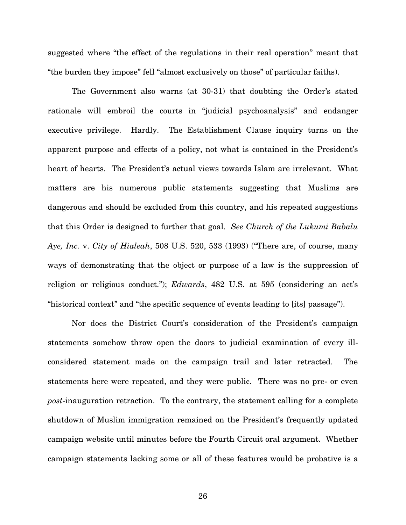suggested where "the effect of the regulations in their real operation" meant that "the burden they impose" fell "almost exclusively on those" of particular faiths).

The Government also warns (at 30-31) that doubting the Order's stated rationale will embroil the courts in "judicial psychoanalysis" and endanger executive privilege. Hardly. The Establishment Clause inquiry turns on the apparent purpose and effects of a policy, not what is contained in the President's heart of hearts. The President's actual views towards Islam are irrelevant. What matters are his numerous public statements suggesting that Muslims are dangerous and should be excluded from this country, and his repeated suggestions that this Order is designed to further that goal. *See Church of the Lukumi Babalu Aye, Inc.* v. *City of Hialeah*, 508 U.S. 520, 533 (1993) ("There are, of course, many ways of demonstrating that the object or purpose of a law is the suppression of religion or religious conduct."); *Edwards*, 482 U.S. at 595 (considering an act's "historical context" and "the specific sequence of events leading to [its] passage").

Nor does the District Court's consideration of the President's campaign statements somehow throw open the doors to judicial examination of every illconsidered statement made on the campaign trail and later retracted. The statements here were repeated, and they were public. There was no pre- or even *post*-inauguration retraction. To the contrary, the statement calling for a complete shutdown of Muslim immigration remained on the President's frequently updated campaign website until minutes before the Fourth Circuit oral argument. Whether campaign statements lacking some or all of these features would be probative is a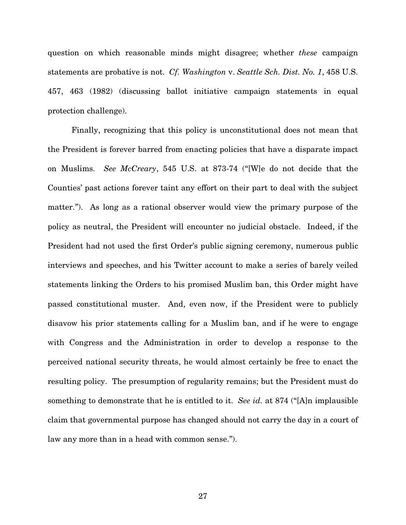question on which reasonable minds might disagree; whether *these* campaign statements are probative is not. *Cf. Washington* v. *Seattle Sch. Dist. No. 1*, 458 U.S. 457, 463 (1982) (discussing ballot initiative campaign statements in equal protection challenge).

Finally, recognizing that this policy is unconstitutional does not mean that the President is forever barred from enacting policies that have a disparate impact on Muslims. *See McCreary*, 545 U.S. at 873-74 ("[W]e do not decide that the Counties' past actions forever taint any effort on their part to deal with the subject matter."). As long as a rational observer would view the primary purpose of the policy as neutral, the President will encounter no judicial obstacle. Indeed, if the President had not used the first Order's public signing ceremony, numerous public interviews and speeches, and his Twitter account to make a series of barely veiled statements linking the Orders to his promised Muslim ban, this Order might have passed constitutional muster. And, even now, if the President were to publicly disavow his prior statements calling for a Muslim ban, and if he were to engage with Congress and the Administration in order to develop a response to the perceived national security threats, he would almost certainly be free to enact the resulting policy. The presumption of regularity remains; but the President must do something to demonstrate that he is entitled to it. *See id.* at 874 ("[A]n implausible claim that governmental purpose has changed should not carry the day in a court of law any more than in a head with common sense.").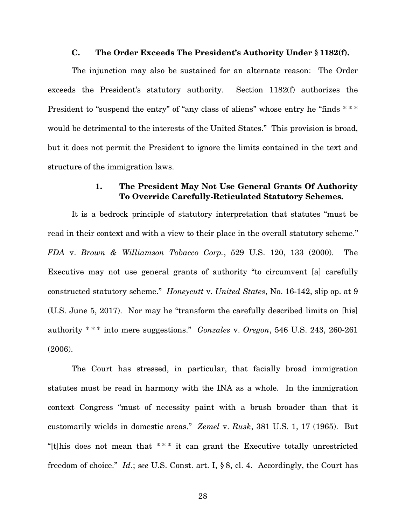#### C. The Order Exceeds The President's Authority Under § 1182(f).

The injunction may also be sustained for an alternate reason: The Order exceeds the President's statutory authority. Section 1182(f) authorizes the President to "suspend the entry" of "any class of aliens" whose entry he "finds \*\*\* would be detrimental to the interests of the United States." This provision is broad, but it does not permit the President to ignore the limits contained in the text and structure of the immigration laws.

# 1. The President May Not Use General Grants Of Authority To Override Carefully-Reticulated Statutory Schemes.

It is a bedrock principle of statutory interpretation that statutes "must be read in their context and with a view to their place in the overall statutory scheme." *FDA* v. *Brown & Williamson Tobacco Corp.*, 529 U.S. 120, 133 (2000). The Executive may not use general grants of authority "to circumvent [a] carefully constructed statutory scheme." *Honeycutt* v. *United States*, No. 16-142, slip op. at 9 (U.S. June 5, 2017). Nor may he "transform the carefully described limits on [his] authority \* \* \* into mere suggestions." *Gonzales* v. *Oregon*, 546 U.S. 243, 260-261 (2006).

The Court has stressed, in particular, that facially broad immigration statutes must be read in harmony with the INA as a whole. In the immigration context Congress "must of necessity paint with a brush broader than that it customarily wields in domestic areas." *Zemel* v. *Rusk*, 381 U.S. 1, 17 (1965). But "[t]his does not mean that  $***$  it can grant the Executive totally unrestricted freedom of choice." *Id.*; *see* U.S. Const. art. I, § 8, cl. 4.Accordingly, the Court has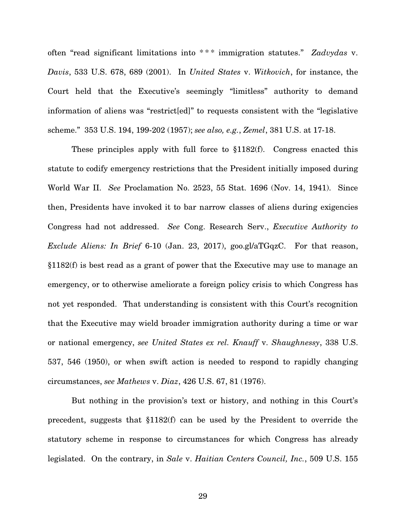often "read significant limitations into \* \* \* immigration statutes." *Zadvydas* v. *Davis*, 533 U.S. 678, 689 (2001). In *United States* v. *Witkovich*, for instance, the Court held that the Executive's seemingly "limitless" authority to demand information of aliens was "restrict[ed]" to requests consistent with the "legislative scheme." 353 U.S. 194, 199-202 (1957); *see also, e.g.*, *Zemel*, 381 U.S. at 17-18.

These principles apply with full force to §1182(f). Congress enacted this statute to codify emergency restrictions that the President initially imposed during World War II. *See* Proclamation No. 2523, 55 Stat. 1696 (Nov. 14, 1941). Since then, Presidents have invoked it to bar narrow classes of aliens during exigencies Congress had not addressed. *See* Cong. Research Serv., *Executive Authority to Exclude Aliens: In Brief* 6-10 (Jan. 23, 2017), goo.gl/aTGqzC. For that reason, §1182(f) is best read as a grant of power that the Executive may use to manage an emergency, or to otherwise ameliorate a foreign policy crisis to which Congress has not yet responded. That understanding is consistent with this Court's recognition that the Executive may wield broader immigration authority during a time or war or national emergency, *see United States ex rel. Knauff* v. *Shaughnessy*, 338 U.S. 537, 546 (1950), or when swift action is needed to respond to rapidly changing circumstances, *see Mathews* v. *Diaz*, 426 U.S. 67, 81 (1976).

But nothing in the provision's text or history, and nothing in this Court's precedent, suggests that §1182(f) can be used by the President to override the statutory scheme in response to circumstances for which Congress has already legislated. On the contrary, in *Sale* v. *Haitian Centers Council, Inc.*, 509 U.S. 155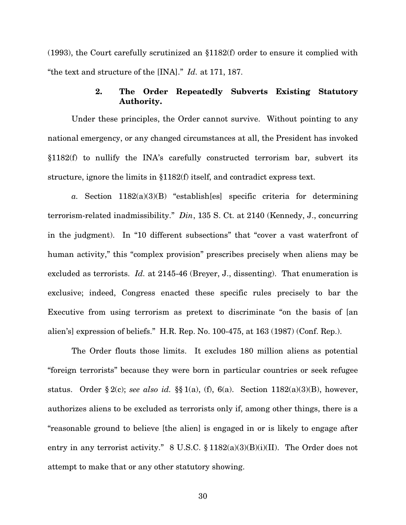(1993), the Court carefully scrutinized an §1182(f) order to ensure it complied with "the text and structure of the [INA]." *Id.* at 171, 187.

# 2. The Order Repeatedly Subverts Existing Statutory Authority.

Under these principles, the Order cannot survive. Without pointing to any national emergency, or any changed circumstances at all, the President has invoked §1182(f) to nullify the INA's carefully constructed terrorism bar, subvert its structure, ignore the limits in §1182(f) itself, and contradict express text.

*a.* Section 1182(a)(3)(B) "establish[es] specific criteria for determining terrorism-related inadmissibility." *Din*, 135 S. Ct. at 2140 (Kennedy, J., concurring in the judgment). In "10 different subsections" that "cover a vast waterfront of human activity," this "complex provision" prescribes precisely when aliens may be excluded as terrorists. *Id.* at 2145-46 (Breyer, J., dissenting). That enumeration is exclusive; indeed, Congress enacted these specific rules precisely to bar the Executive from using terrorism as pretext to discriminate "on the basis of [an alien's] expression of beliefs." H.R. Rep. No. 100-475, at 163 (1987) (Conf. Rep.).

The Order flouts those limits. It excludes 180 million aliens as potential "foreign terrorists" because they were born in particular countries or seek refugee status. Order § 2(c); *see also id.* §§ 1(a), (f), 6(a). Section 1182(a)(3)(B), however, authorizes aliens to be excluded as terrorists only if, among other things, there is a "reasonable ground to believe [the alien] is engaged in or is likely to engage after entry in any terrorist activity." 8 U.S.C. § 1182(a)(3)(B)(i)(II). The Order does not attempt to make that or any other statutory showing.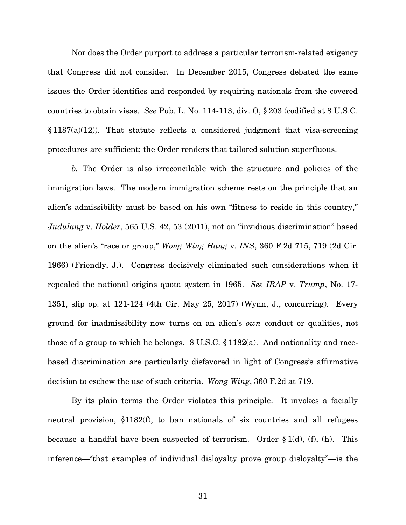Nor does the Order purport to address a particular terrorism-related exigency that Congress did not consider. In December 2015, Congress debated the same issues the Order identifies and responded by requiring nationals from the covered countries to obtain visas. *See* Pub. L. No. 114-113, div. O, § 203 (codified at 8 U.S.C.  $§ 1187(a)(12)$ . That statute reflects a considered judgment that visa-screening procedures are sufficient; the Order renders that tailored solution superfluous.

*b.* The Order is also irreconcilable with the structure and policies of the immigration laws. The modern immigration scheme rests on the principle that an alien's admissibility must be based on his own "fitness to reside in this country," *Judulang* v. *Holder*, 565 U.S. 42, 53 (2011), not on "invidious discrimination" based on the alien's "race or group," *Wong Wing Hang* v. *INS*, 360 F.2d 715, 719 (2d Cir. 1966) (Friendly, J.). Congress decisively eliminated such considerations when it repealed the national origins quota system in 1965. *See IRAP* v. *Trump*, No. 17- 1351, slip op. at 121-124 (4th Cir. May 25, 2017) (Wynn, J., concurring). Every ground for inadmissibility now turns on an alien's *own* conduct or qualities, not those of a group to which he belongs.  $8 \text{ U.S.C.} \$  1182(a). And nationality and racebased discrimination are particularly disfavored in light of Congress's affirmative decision to eschew the use of such criteria. *Wong Wing*, 360 F.2d at 719.

By its plain terms the Order violates this principle. It invokes a facially neutral provision, §1182(f), to ban nationals of six countries and all refugees because a handful have been suspected of terrorism. Order  $\S 1(d)$ , (f), (h). This inference—"that examples of individual disloyalty prove group disloyalty"—is the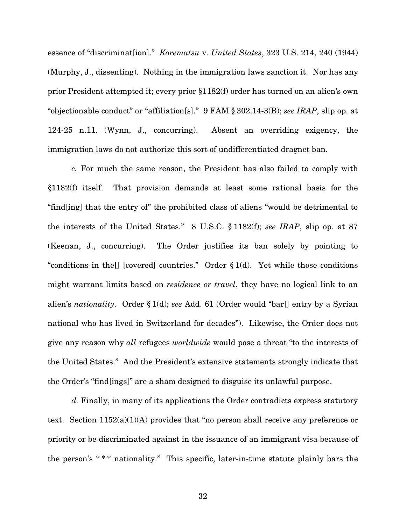essence of "discriminat[ion]." *Korematsu* v. *United States*, 323 U.S. 214, 240 (1944) (Murphy, J., dissenting). Nothing in the immigration laws sanction it. Nor has any prior President attempted it; every prior §1182(f) order has turned on an alien's own "objectionable conduct" or "affiliation[s]." 9 FAM § 302.14-3(B); *see IRAP*, slip op. at 124-25 n.11. (Wynn, J., concurring). Absent an overriding exigency, the immigration laws do not authorize this sort of undifferentiated dragnet ban.

*c.* For much the same reason, the President has also failed to comply with §1182(f) itself. That provision demands at least some rational basis for the "find[ing] that the entry of" the prohibited class of aliens "would be detrimental to the interests of the United States." 8 U.S.C. § 1182(f); *see IRAP*, slip op. at 87 (Keenan, J., concurring). The Order justifies its ban solely by pointing to "conditions in the [] [covered] countries." Order  $\S 1(d)$ . Yet while those conditions might warrant limits based on *residence or travel*, they have no logical link to an alien's *nationality*. Order § 1(d); *see* Add. 61 (Order would "bar[] entry by a Syrian national who has lived in Switzerland for decades"). Likewise, the Order does not give any reason why *all* refugees *worldwide* would pose a threat "to the interests of the United States." And the President's extensive statements strongly indicate that the Order's "find[ings]" are a sham designed to disguise its unlawful purpose.

*d.* Finally, in many of its applications the Order contradicts express statutory text. Section 1152(a)(1)(A) provides that "no person shall receive any preference or priority or be discriminated against in the issuance of an immigrant visa because of the person's  $***$  nationality." This specific, later-in-time statute plainly bars the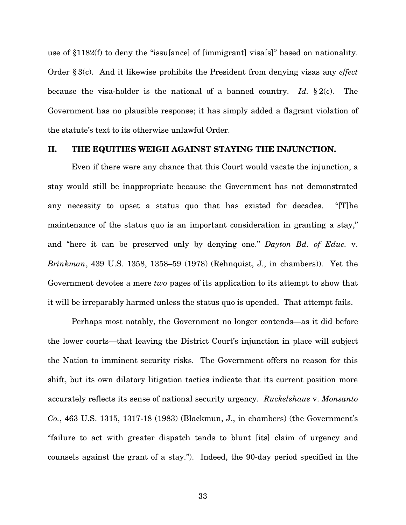use of §1182(f) to deny the "issu[ance] of [immigrant] visa[s]" based on nationality. Order § 3(c). And it likewise prohibits the President from denying visas any *effect*  because the visa-holder is the national of a banned country. *Id.* § 2(c). The Government has no plausible response; it has simply added a flagrant violation of the statute's text to its otherwise unlawful Order.

#### II. THE EQUITIES WEIGH AGAINST STAYING THE INJUNCTION.

Even if there were any chance that this Court would vacate the injunction, a stay would still be inappropriate because the Government has not demonstrated any necessity to upset a status quo that has existed for decades. "[T]he maintenance of the status quo is an important consideration in granting a stay," and "here it can be preserved only by denying one." *Dayton Bd. of Educ.* v. *Brinkman*, 439 U.S. 1358, 1358–59 (1978) (Rehnquist, J., in chambers)). Yet the Government devotes a mere *two* pages of its application to its attempt to show that it will be irreparably harmed unless the status quo is upended. That attempt fails.

Perhaps most notably, the Government no longer contends—as it did before the lower courts—that leaving the District Court's injunction in place will subject the Nation to imminent security risks. The Government offers no reason for this shift, but its own dilatory litigation tactics indicate that its current position more accurately reflects its sense of national security urgency. *Ruckelshaus* v. *Monsanto Co.*, 463 U.S. 1315, 1317-18 (1983) (Blackmun, J., in chambers) (the Government's "failure to act with greater dispatch tends to blunt [its] claim of urgency and counsels against the grant of a stay."). Indeed, the 90-day period specified in the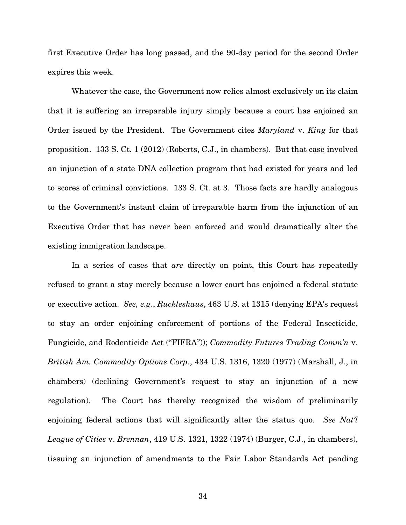first Executive Order has long passed, and the 90-day period for the second Order expires this week.

Whatever the case, the Government now relies almost exclusively on its claim that it is suffering an irreparable injury simply because a court has enjoined an Order issued by the President. The Government cites *Maryland* v. *King* for that proposition. 133 S. Ct. 1 (2012) (Roberts, C.J., in chambers). But that case involved an injunction of a state DNA collection program that had existed for years and led to scores of criminal convictions. 133 S. Ct. at 3. Those facts are hardly analogous to the Government's instant claim of irreparable harm from the injunction of an Executive Order that has never been enforced and would dramatically alter the existing immigration landscape.

In a series of cases that *are* directly on point, this Court has repeatedly refused to grant a stay merely because a lower court has enjoined a federal statute or executive action. *See, e.g.*, *Ruckleshaus*, 463 U.S. at 1315 (denying EPA's request to stay an order enjoining enforcement of portions of the Federal Insecticide, Fungicide, and Rodenticide Act ("FIFRA")); *Commodity Futures Trading Comm'n* v. *British Am. Commodity Options Corp.*, 434 U.S. 1316, 1320 (1977) (Marshall, J., in chambers) (declining Government's request to stay an injunction of a new regulation). The Court has thereby recognized the wisdom of preliminarily enjoining federal actions that will significantly alter the status quo. *See Nat'l League of Cities* v. *Brennan*, 419 U.S. 1321, 1322 (1974) (Burger, C.J., in chambers), (issuing an injunction of amendments to the Fair Labor Standards Act pending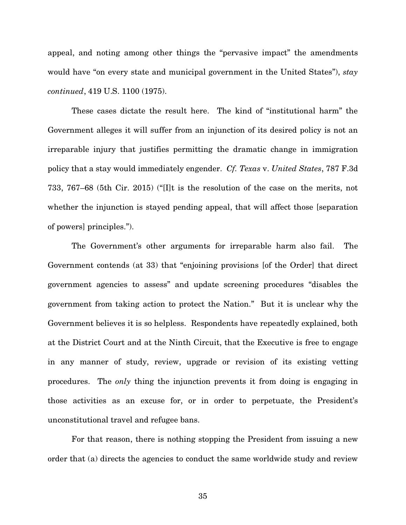appeal, and noting among other things the "pervasive impact" the amendments would have "on every state and municipal government in the United States"), *stay continued*, 419 U.S. 1100 (1975).

These cases dictate the result here. The kind of "institutional harm" the Government alleges it will suffer from an injunction of its desired policy is not an irreparable injury that justifies permitting the dramatic change in immigration policy that a stay would immediately engender. *Cf. Texas* v. *United States*, 787 F.3d 733, 767–68 (5th Cir. 2015) ("[I]t is the resolution of the case on the merits, not whether the injunction is stayed pending appeal, that will affect those [separation of powers] principles.").

The Government's other arguments for irreparable harm also fail. The Government contends (at 33) that "enjoining provisions [of the Order] that direct government agencies to assess" and update screening procedures "disables the government from taking action to protect the Nation." But it is unclear why the Government believes it is so helpless. Respondents have repeatedly explained, both at the District Court and at the Ninth Circuit, that the Executive is free to engage in any manner of study, review, upgrade or revision of its existing vetting procedures. The *only* thing the injunction prevents it from doing is engaging in those activities as an excuse for, or in order to perpetuate, the President's unconstitutional travel and refugee bans.

For that reason, there is nothing stopping the President from issuing a new order that (a) directs the agencies to conduct the same worldwide study and review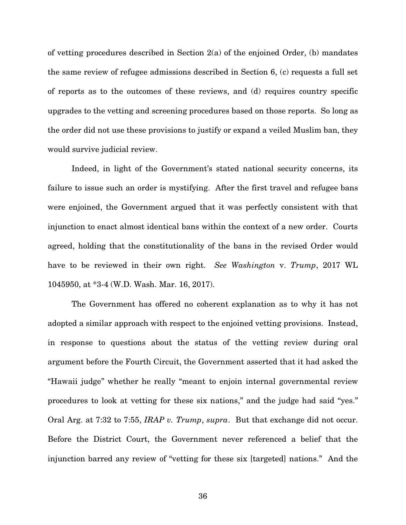of vetting procedures described in Section 2(a) of the enjoined Order, (b) mandates the same review of refugee admissions described in Section 6, (c) requests a full set of reports as to the outcomes of these reviews, and (d) requires country specific upgrades to the vetting and screening procedures based on those reports. So long as the order did not use these provisions to justify or expand a veiled Muslim ban, they would survive judicial review.

Indeed, in light of the Government's stated national security concerns, its failure to issue such an order is mystifying. After the first travel and refugee bans were enjoined, the Government argued that it was perfectly consistent with that injunction to enact almost identical bans within the context of a new order. Courts agreed, holding that the constitutionality of the bans in the revised Order would have to be reviewed in their own right. *See Washington* v. *Trump*, 2017 WL 1045950, at \*3-4 (W.D. Wash. Mar. 16, 2017).

The Government has offered no coherent explanation as to why it has not adopted a similar approach with respect to the enjoined vetting provisions. Instead, in response to questions about the status of the vetting review during oral argument before the Fourth Circuit, the Government asserted that it had asked the "Hawaii judge" whether he really "meant to enjoin internal governmental review procedures to look at vetting for these six nations," and the judge had said "yes." Oral Arg. at 7:32 to 7:55, *IRAP v. Trump*, *supra*. But that exchange did not occur. Before the District Court, the Government never referenced a belief that the injunction barred any review of "vetting for these six [targeted] nations." And the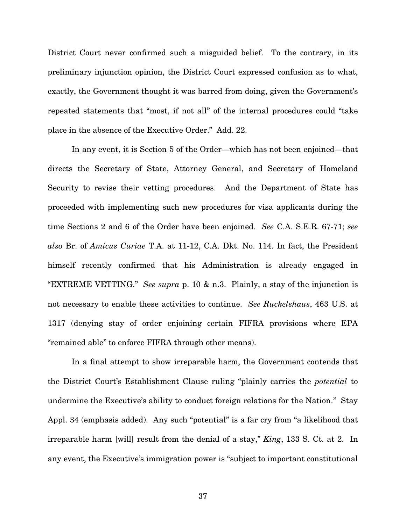District Court never confirmed such a misguided belief. To the contrary, in its preliminary injunction opinion, the District Court expressed confusion as to what, exactly, the Government thought it was barred from doing, given the Government's repeated statements that "most, if not all" of the internal procedures could "take place in the absence of the Executive Order." Add. 22.

In any event, it is Section 5 of the Order—which has not been enjoined—that directs the Secretary of State, Attorney General, and Secretary of Homeland Security to revise their vetting procedures. And the Department of State has proceeded with implementing such new procedures for visa applicants during the time Sections 2 and 6 of the Order have been enjoined. *See* C.A. S.E.R. 67-71; *see also* Br. of *Amicus Curiae* T.A. at 11-12, C.A. Dkt. No. 114. In fact, the President himself recently confirmed that his Administration is already engaged in "EXTREME VETTING." *See supra* p. 10 & n.3. Plainly, a stay of the injunction is not necessary to enable these activities to continue. *See Ruckelshaus*, 463 U.S. at 1317 (denying stay of order enjoining certain FIFRA provisions where EPA "remained able" to enforce FIFRA through other means).

In a final attempt to show irreparable harm, the Government contends that the District Court's Establishment Clause ruling "plainly carries the *potential* to undermine the Executive's ability to conduct foreign relations for the Nation." Stay Appl. 34 (emphasis added). Any such "potential" is a far cry from "a likelihood that irreparable harm [will] result from the denial of a stay," *King*, 133 S. Ct. at 2. In any event, the Executive's immigration power is "subject to important constitutional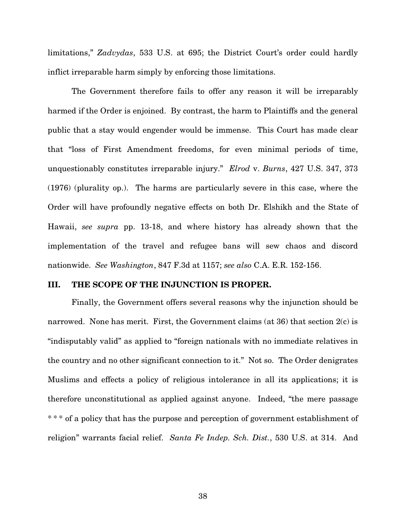limitations," *Zadvydas*, 533 U.S. at 695; the District Court's order could hardly inflict irreparable harm simply by enforcing those limitations.

The Government therefore fails to offer any reason it will be irreparably harmed if the Order is enjoined. By contrast, the harm to Plaintiffs and the general public that a stay would engender would be immense. This Court has made clear that "loss of First Amendment freedoms, for even minimal periods of time, unquestionably constitutes irreparable injury." *Elrod* v. *Burns*, 427 U.S. 347, 373 (1976) (plurality op.). The harms are particularly severe in this case, where the Order will have profoundly negative effects on both Dr. Elshikh and the State of Hawaii, *see supra* pp. 13-18, and where history has already shown that the implementation of the travel and refugee bans will sew chaos and discord nationwide. *See Washington*, 847 F.3d at 1157; *see also* C.A. E.R. 152-156.

## III. THE SCOPE OF THE INJUNCTION IS PROPER.

Finally, the Government offers several reasons why the injunction should be narrowed. None has merit. First, the Government claims (at 36) that section 2(c) is "indisputably valid" as applied to "foreign nationals with no immediate relatives in the country and no other significant connection to it." Not so. The Order denigrates Muslims and effects a policy of religious intolerance in all its applications; it is therefore unconstitutional as applied against anyone. Indeed, "the mere passage \*\*\* of a policy that has the purpose and perception of government establishment of religion" warrants facial relief. *Santa Fe Indep. Sch. Dist.*, 530 U.S. at 314. And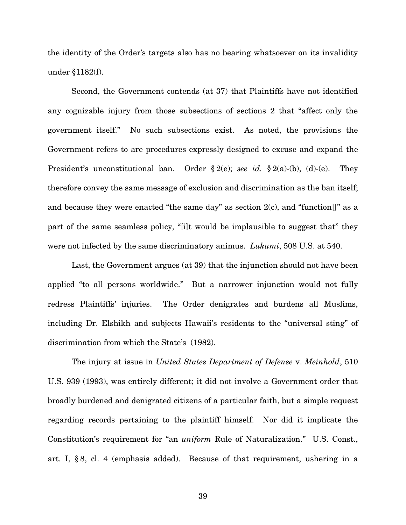the identity of the Order's targets also has no bearing whatsoever on its invalidity under §1182(f).

Second, the Government contends (at 37) that Plaintiffs have not identified any cognizable injury from those subsections of sections 2 that "affect only the government itself." No such subsections exist. As noted, the provisions the Government refers to are procedures expressly designed to excuse and expand the President's unconstitutional ban. Order § 2(e); *see id.* § 2(a)-(b), (d)-(e). They therefore convey the same message of exclusion and discrimination as the ban itself; and because they were enacted "the same day" as section  $2(c)$ , and "function[]" as a part of the same seamless policy, "[i]t would be implausible to suggest that" they were not infected by the same discriminatory animus. *Lukumi*, 508 U.S. at 540.

Last, the Government argues (at 39) that the injunction should not have been applied "to all persons worldwide." But a narrower injunction would not fully redress Plaintiffs' injuries. The Order denigrates and burdens all Muslims, including Dr. Elshikh and subjects Hawaii's residents to the "universal sting" of discrimination from which the State's (1982).

The injury at issue in *United States Department of Defense* v. *Meinhold*, 510 U.S. 939 (1993), was entirely different; it did not involve a Government order that broadly burdened and denigrated citizens of a particular faith, but a simple request regarding records pertaining to the plaintiff himself. Nor did it implicate the Constitution's requirement for "an *uniform* Rule of Naturalization." U.S. Const., art. I, § 8, cl. 4 (emphasis added). Because of that requirement, ushering in a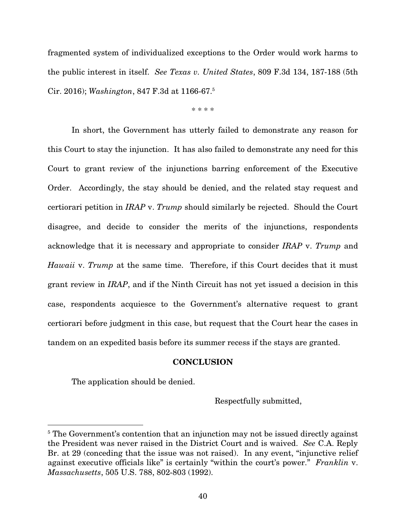fragmented system of individualized exceptions to the Order would work harms to the public interest in itself. *See Texas v. United States*, 809 F.3d 134, 187-188 (5th Cir. 2016); *Washington*, 847 F.3d at 1166-67.<sup>5</sup>

\* \* \* \*

In short, the Government has utterly failed to demonstrate any reason for this Court to stay the injunction. It has also failed to demonstrate any need for this Court to grant review of the injunctions barring enforcement of the Executive Order. Accordingly, the stay should be denied, and the related stay request and certiorari petition in *IRAP* v. *Trump* should similarly be rejected. Should the Court disagree, and decide to consider the merits of the injunctions, respondents acknowledge that it is necessary and appropriate to consider *IRAP* v. *Trump* and *Hawaii* v. *Trump* at the same time. Therefore, if this Court decides that it must grant review in *IRAP*, and if the Ninth Circuit has not yet issued a decision in this case, respondents acquiesce to the Government's alternative request to grant certiorari before judgment in this case, but request that the Court hear the cases in tandem on an expedited basis before its summer recess if the stays are granted.

#### **CONCLUSION**

The application should be denied.

<u>.</u>

Respectfully submitted,

<sup>&</sup>lt;sup>5</sup> The Government's contention that an injunction may not be issued directly against the President was never raised in the District Court and is waived. *See* C.A. Reply Br. at 29 (conceding that the issue was not raised). In any event, "injunctive relief against executive officials like" is certainly "within the court's power." *Franklin* v. *Massachusetts*, 505 U.S. 788, 802-803 (1992).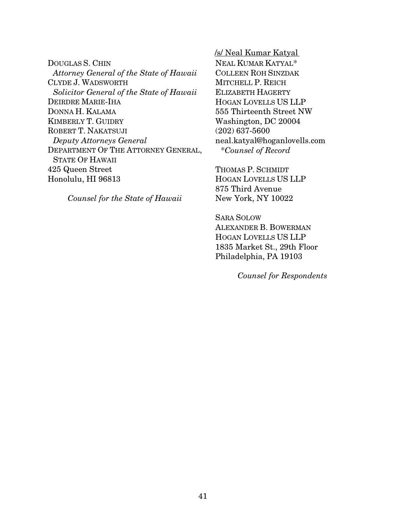DOUGLAS S. CHIN *Attorney General of the State of Hawaii*  CLYDE J. WADSWORTH *Solicitor General of the State of Hawaii*  DEIRDRE MARIE-IHA DONNA H. KALAMA KIMBERLY T. GUIDRY ROBERT T. NAKATSUJI *Deputy Attorneys General*  DEPARTMENT OF THE ATTORNEY GENERAL, STATE OF HAWAII 425 Queen Street Honolulu, HI 96813

*Counsel for the State of Hawaii* 

/s/ Neal Kumar Katyal

NEAL KUMAR KATYAL\* COLLEEN ROH SINZDAK MITCHELL P. REICH ELIZABETH HAGERTY HOGAN LOVELLS US LLP 555 Thirteenth Street NW Washington, DC 20004 (202) 637-5600 neal.katyal@hoganlovells.com \**Counsel of Record* 

THOMAS P. SCHMIDT HOGAN LOVELLS US LLP 875 Third Avenue New York, NY 10022

SARA SOLOW ALEXANDER B. BOWERMAN HOGAN LOVELLS US LLP 1835 Market St., 29th Floor Philadelphia, PA 19103

 *Counsel for Respondents*